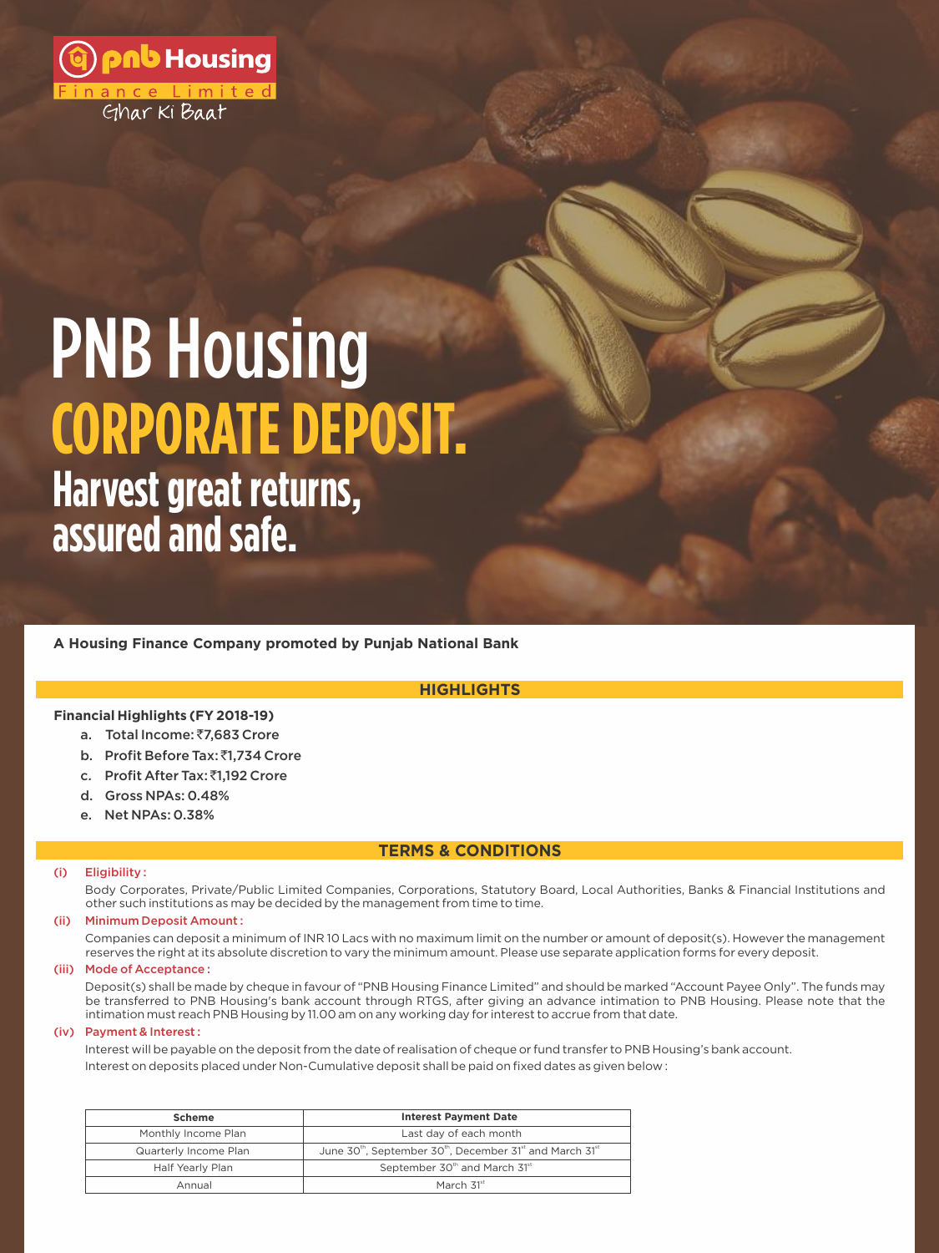

# **Harvest great returns, CORPORATE DEPOSIT.** PNB Housing

**assured and safe.**

**A Housing Finance Company promoted by Punjab National Bank**

# **HIGHLIGHTS**

## **Financial Highlights (FY 2018-19)**

- a. Total Income: ₹7,683 Crore
- b. Profit Before Tax: ₹1,734 Crore
- c. Profit After Tax: ₹1,192 Crore
- d. Gross NPAs: 0.48%
- e. Net NPAs: 0.38%

# **TERMS & CONDITIONS**

#### (i) Eligibility :

Body Corporates, Private/Public Limited Companies, Corporations, Statutory Board, Local Authorities, Banks & Financial Institutions and other such institutions as may be decided by the management from time to time.

#### (ii) Minimum Deposit Amount :

Companies can deposit a minimum of INR 10 Lacs with no maximum limit on the number or amount of deposit(s). However the management reserves the right at its absolute discretion to vary the minimum amount. Please use separate application forms for every deposit.

#### (iii) Mode of Acceptance :

Deposit(s) shall be made by cheque in favour of "PNB Housing Finance Limited" and should be marked "Account Payee Only". The funds may be transferred to PNB Housing's bank account through RTGS, after giving an advance intimation to PNB Housing. Please note that the intimation must reach PNB Housing by 11.00 am on any working day for interest to accrue from that date.

#### (iv) Payment & Interest :

Interest will be payable on the deposit from the date of realisation of cheque or fund transfer to PNB Housing's bank account. Interest on deposits placed under Non-Cumulative deposit shall be paid on fixed dates as given below :

| Scheme                | <b>Interest Payment Date</b>                                                                              |
|-----------------------|-----------------------------------------------------------------------------------------------------------|
| Monthly Income Plan   | Last day of each month                                                                                    |
| Quarterly Income Plan | June 30 <sup>th</sup> , September 30 <sup>th</sup> , December 31 <sup>st</sup> and March 31 <sup>st</sup> |
| Half Yearly Plan      | September 30th and March 31st                                                                             |
| Annual                | March 31 <sup>st</sup>                                                                                    |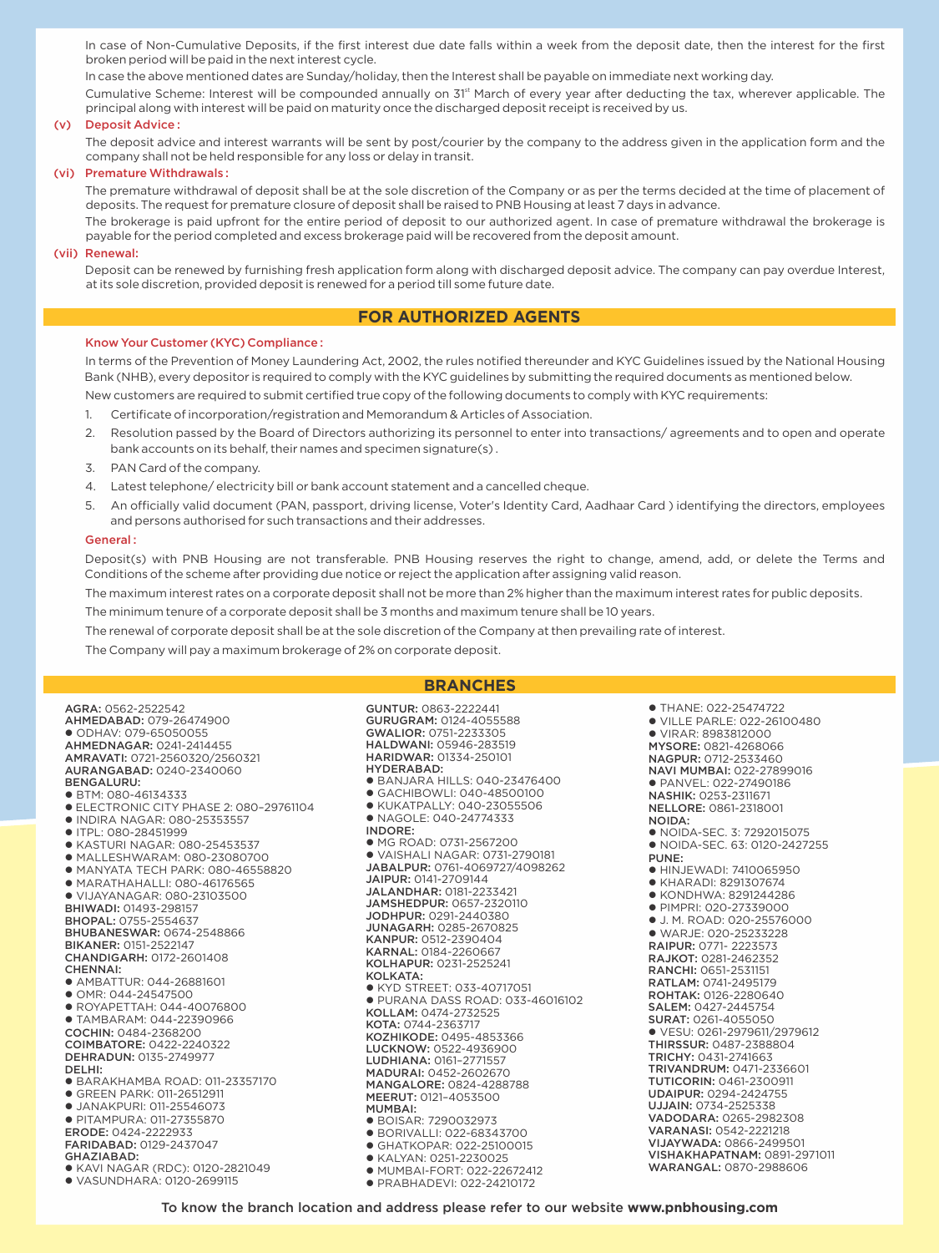In case of Non-Cumulative Deposits, if the first interest due date falls within a week from the deposit date, then the interest for the first broken period will be paid in the next interest cycle.

In case the above mentioned dates are Sunday/holiday, then the Interest shall be payable on immediate next working day.

Cumulative Scheme: Interest will be compounded annually on 31<sup>st</sup> March of every year after deducting the tax, wherever applicable. The principal along with interest will be paid on maturity once the discharged deposit receipt is received by us.

#### (v) Deposit Advice :

The deposit advice and interest warrants will be sent by post/courier by the company to the address given in the application form and the company shall not be held responsible for any loss or delay in transit.

#### (vi) Premature Withdrawals :

The premature withdrawal of deposit shall be at the sole discretion of the Company or as per the terms decided at the time of placement of deposits. The request for premature closure of deposit shall be raised to PNB Housing at least 7 days in advance.

The brokerage is paid upfront for the entire period of deposit to our authorized agent. In case of premature withdrawal the brokerage is payable for the period completed and excess brokerage paid will be recovered from the deposit amount.

#### (vii) Renewal:

Deposit can be renewed by furnishing fresh application form along with discharged deposit advice. The company can pay overdue Interest, at its sole discretion, provided deposit is renewed for a period till some future date.

### **FOR AUTHORIZED AGENTS**

#### Know Your Customer (KYC) Compliance :

In terms of the Prevention of Money Laundering Act, 2002, the rules notified thereunder and KYC Guidelines issued by the National Housing Bank (NHB), every depositor is required to comply with the KYC guidelines by submitting the required documents as mentioned below.

New customers are required to submit certified true copy of the following documents to comply with KYC requirements:

- 1. Certificate of incorporation/registration and Memorandum & Articles of Association.
- 2. Resolution passed by the Board of Directors authorizing its personnel to enter into transactions/ agreements and to open and operate bank accounts on its behalf, their names and specimen signature(s) .
- 3. PAN Card of the company.
- 4. Latest telephone/ electricity bill or bank account statement and a cancelled cheque.
- 5. An officially valid document (PAN, passport, driving license, Voter's Identity Card, Aadhaar Card ) identifying the directors, employees and persons authorised for such transactions and their addresses.

#### General :

Deposit(s) with PNB Housing are not transferable. PNB Housing reserves the right to change, amend, add, or delete the Terms and Conditions of the scheme after providing due notice or reject the application after assigning valid reason.

The maximum interest rates on a corporate deposit shall not be more than 2% higher than the maximum interest rates for public deposits.

The minimum tenure of a corporate deposit shall be 3 months and maximum tenure shall be 10 years.

The renewal of corporate deposit shall be at the sole discretion of the Company at then prevailing rate of interest.

The Company will pay a maximum brokerage of 2% on corporate deposit.

#### **BRANCHES**

GUNTUR: 0863-2222441

AGRA: 0562-2522542 AHMEDABAD: 079-26474900 l ODHAV: 079-65050055 AHMEDNAGAR: 0241-2414455 AMRAVATI: 0721-2560320/2560321 AURANGABAD: 0240-2340060 BENGALURU: ● BTM: 080-46134333 l ELECTRONIC CITY PHASE 2: 080–29761104 l INDIRA NAGAR: 080-25353557  $\bullet$  ITPL: 080-28451999 l KASTURI NAGAR: 080-25453537 l MALLESHWARAM: 080-23080700  $\bullet$  MANYATA TECH PARK: 080-46558820 l MARATHAHALLI: 080-46176565 l VIJAYANAGAR: 080-23103500 BHIWADI: 01493-298157 BHOPAL: 0755-2554637 BHUBANESWAR: 0674-2548866 BIKANER: 0151-2522147 CHANDIGARH: 0172-2601408 CHENNAI: ● AMBATTUR: 044-26881601 l OMR: 044-24547500 l ROYAPETTAH: 044-40076800 l TAMBARAM: 044-22390966 COCHIN: 0484-2368200 COIMBATORE: 0422-2240322 DEHRADUN: 0135-2749977 DELHI: l BARAKHAMBA ROAD: 011-23357170 **• GREEN PARK: 011-26512911 JANAKPURI: 011-25546073 • PITAMPURA: 011-27355870** ERODE: 0424-2222933 FARIDABAD: 0129-2437047 GHAZIABAD: l KAVI NAGAR (RDC): 0120-2821049 l VASUNDHARA: 0120-2699115

GURUGRAM: 0124-4055588 GWALIOR: 0751-2233305 HALDWANI: 05946-283519 HARIDWAR: 01334-250101 HYDERABAD: l BANJARA HILLS: 040-23476400 l GACHIBOWLI: 040-48500100 l KUKATPALLY: 040-23055506 l NAGOLE: 040-24774333 INDORE: ● MG ROAD: 0731-2567200 l VAISHALI NAGAR: 0731-2790181 JABALPUR: 0761-4069727/4098262 JAIPUR: 0141-2709144 JALANDHAR: 0181-2233421 JAMSHEDPUR: 0657-2320110 JODHPUR: 0291-2440380 JUNAGARH: 0285-2670825 KANPUR: 0512-2390404 KARNAL: 0184-2260667 KOLHAPUR: 0231-2525241 KOLKATA: l KYD STREET: 033-40717051 l PURANA DASS ROAD: 033-46016102 KOLLAM: 0474-2732525 KOTA: 0744-2363717 KOZHIKODE: 0495-4853366 LUCKNOW: 0522-4936900 LUDHIANA: 0161–2771557 MADURAI: 0452-2602670 MANGALORE: 0824-4288788 MEERUT: 0121–4053500 MUMBAI: l BOISAR: 7290032973 ● BORIVALLI: 022-68343700  $\bullet$  GHATKOPAR: 022-25100015 • KALYAN: 0251-2230025 l MUMBAI-FORT: 022-22672412 **• PRABHADEVI: 022-24210172** 

 $\bullet$  THANE: 022-25474722 l VILLE PARLE: 022-26100480 l VIRAR: 8983812000 MYSORE: 0821-4268066 NAGPUR: 0712-2533460 NAVI MUMBAI: 022-27899016 **• PANVEL: 022-27490186** NASHIK: 0253-2311671 NELLORE: 0861-2318001 NOIDA: • NOIDA-SEC. 3: 7292015075 • NOIDA-SEC. 63: 0120-2427255 PUNE: **• HINJEWADI: 7410065950** l KHARADI: 8291307674 l KONDHWA: 8291244286 l PIMPRI: 020-27339000  $\bullet$  | M. ROAD: 020-25576000 l WARJE: 020-25233228 RAIPUR: 0771- 2223573 RAJKOT: 0281-2462352 RANCHI: 0651-2531151 RATLAM: 0741-2495179 ROHTAK: 0126-2280640 SALEM: 0427-2445754 SURAT: 0261-4055050 l VESU: 0261-2979611/2979612 THIRSSUR: 0487-2388804 TRICHY: 0431-2741663 TRIVANDRUM: 0471-2336601 TUTICORIN: 0461-2300911 UDAIPUR: 0294-2424755 UJJAIN: 0734-2525338 VADODARA: 0265-2982308 VARANASI: 0542-2221218 VIJAYWADA: 0866-2499501 VISHAKHAPATNAM: 0891-2971011 WARANGAL: 0870-2988606

To know the branch location and address please refer to our website **www.pnbhousing.com**